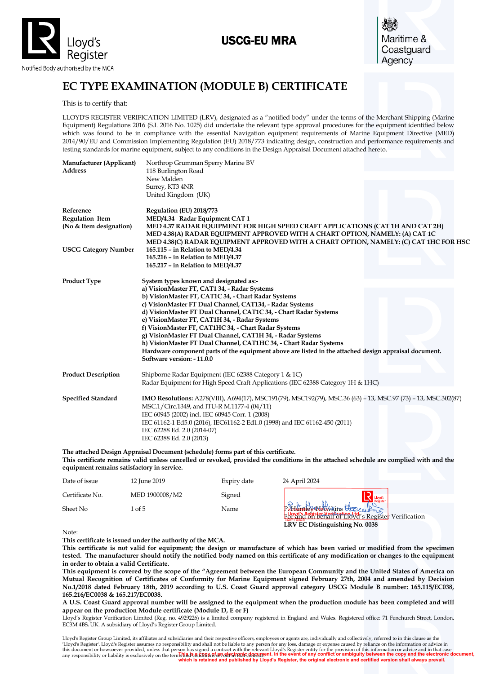# USCG-EU MRA



Maritime & Coastguard Agency

# **EC TYPE EXAMINATION (MODULE B) CERTIFICATE**

This is to certify that:

LLOYD'S REGISTER VERIFICATION LIMITED (LRV), designated as a "notified body" under the terms of the Merchant Shipping (Marine Equipment) Regulations 2016 (S.I. 2016 No. 1025) did undertake the relevant type approval procedures for the equipment identified below which was found to be in compliance with the essential Navigation equipment requirements of Marine Equipment Directive (MED) 2014/90/EU and Commission Implementing Regulation (EU) 2018/773 indicating design, construction and performance requirements and testing standards for marine equipment, subject to any conditions in the Design Appraisal Document attached hereto.

| Manufacturer (Applicant)<br><b>Address</b> | Northrop Grumman Sperry Marine BV<br>118 Burlington Road                                                                           |
|--------------------------------------------|------------------------------------------------------------------------------------------------------------------------------------|
|                                            | New Malden                                                                                                                         |
|                                            | Surrey, KT3 4NR                                                                                                                    |
|                                            | United Kingdom (UK)                                                                                                                |
| Reference                                  | Regulation (EU) 2018/773                                                                                                           |
| <b>Regulation Item</b>                     | MED/4.34 Radar Equipment CAT 1                                                                                                     |
| (No & Item designation)                    | MED 4.37 RADAR EQUIPMENT FOR HIGH SPEED CRAFT APPLICATIONS (CAT 1H AND CAT 2H)                                                     |
|                                            | MED 4.38(A) RADAR EQUIPMENT APPROVED WITH A CHART OPTION, NAMELY: (A) CAT 1C                                                       |
|                                            | MED 4.38(C) RADAR EQUIPMENT APPROVED WITH A CHART OPTION, NAMELY: (C) CAT 1HC FOR HSC                                              |
| <b>USCG Category Number</b>                | 165.115 - in Relation to MED/4.34                                                                                                  |
|                                            | 165.216 - in Relation to MED/4.37                                                                                                  |
|                                            | 165.217 - in Relation to MED/4.37                                                                                                  |
| <b>Product Type</b>                        | System types known and designated as:-                                                                                             |
|                                            | a) VisionMaster FT, CAT1 34, - Radar Systems                                                                                       |
|                                            | b) VisionMaster FT, CAT1C 34, - Chart Radar Systems                                                                                |
|                                            | c) VisionMaster FT Dual Channel, CAT134, - Radar Systems                                                                           |
|                                            | d) VisionMaster FT Dual Channel, CAT1C 34, - Chart Radar Systems                                                                   |
|                                            | e) VisionMaster FT, CAT1H 34, - Radar Systems                                                                                      |
|                                            | f) VisionMaster FT, CAT1HC 34, - Chart Radar Systems                                                                               |
|                                            | g) VisionMaster FT Dual Channel, CAT1H 34, - Radar Systems                                                                         |
|                                            | h) VisionMaster FT Dual Channel, CAT1HC 34, - Chart Radar Systems                                                                  |
|                                            | Hardware component parts of the equipment above are listed in the attached design appraisal document.<br>Software version: -11.0.0 |
|                                            |                                                                                                                                    |
| <b>Product Description</b>                 | Shipborne Radar Equipment (IEC 62388 Category 1 & 1C)                                                                              |
|                                            | Radar Equipment for High Speed Craft Applications (IEC 62388 Category 1H & 1HC)                                                    |
| <b>Specified Standard</b>                  | IMO Resolutions: A278(VIII), A694(17), MSC191(79), MSC192(79), MSC.36 (63) - 13, MSC.97 (73) - 13, MSC.302(87)                     |
|                                            | MSC.1/Circ.1349, and ITU-R M.1177-4 (04/11)                                                                                        |
|                                            | IEC 60945 (2002) incl. IEC 60945 Corr. 1 (2008)                                                                                    |
|                                            | IEC 61162-1 Ed5.0 (2016), IEC61162-2 Ed1.0 (1998) and IEC 61162-450 (2011)                                                         |
|                                            | IEC 62288 Ed. 2.0 (2014-07)                                                                                                        |
|                                            | IEC 62388 Ed. 2.0 (2013)                                                                                                           |
|                                            |                                                                                                                                    |

**The attached Design Appraisal Document (schedule) forms part of this certificate. This certificate remains valid unless cancelled or revoked, provided the conditions in the attached schedule are complied with and the equipment remains satisfactory in service.**

| Date of issue   | 12 June 2019   | Expiry date | 24 April 2024                                                    |  |
|-----------------|----------------|-------------|------------------------------------------------------------------|--|
| Certificate No. | MED 1900008/M2 | Signed      |                                                                  |  |
| Sheet No        | 1 of 5         | Name        | Put Hardweins Helene Professor<br>LRV EC Distinguishing No. 0038 |  |

Note:

**This certificate is issued under the authority of the MCA.** 

**This certificate is not valid for equipment; the design or manufacture of which has been varied or modified from the specimen tested. The manufacturer should notify the notified body named on this certificate of any modification or changes to the equipment in order to obtain a valid Certificate.**

**This equipment is covered by the scope of the "Agreement between the European Community and the United States of America on Mutual Recognition of Certificates of Conformity for Marine Equipment signed February 27th, 2004 and amended by Decision No.1/2018 dated February 18th, 2019 according to U.S. Coast Guard approval category USCG Module B number: 165.115/EC038, 165.216/EC0038 & 165.217/EC0038.**  Note:<br>
This certificate is issued under the authority of the MCA.<br>
This certificate is issued under the authority of the MCA.<br>
This certificate is not valid for equipment; the design or manufacture of which has been varied

**A U.S. Coast Guard approval number will be assigned to the equipment when the production module has been completed and will appear on the production Module certificate (Module D, E or F)**

Lloyd's Register Verification Limited (Reg. no. 4929226) is a limited company registered in England and Wales. Registered office: 71 Fenchurch Street, London, EC3M 4BS, UK. A subsidiary of Lloyd's Register Group Limited.

ns and conditions set out in that contract. Lloyd's Register Group Limited, its affiliates and subsidiaries and their respective officers, employees or agents are, individually and collectively, referred to in this clause as the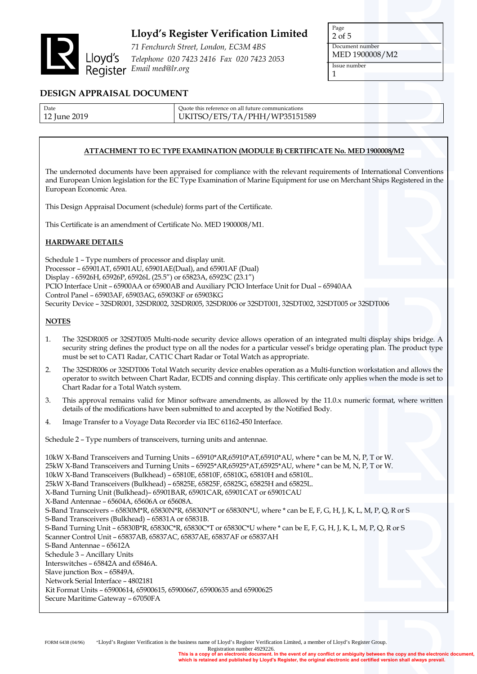

*71 Fenchurch Street, London, EC3M 4BS Telephone 020 7423 2416 Fax 020 7423 2053 Email med@lr.org*

Page 2 of 5 Document number MED 1900008/M2 Issue number 1

### **DESIGN APPRAISAL DOCUMENT**

| Date         | Quote this reference on all future communications |
|--------------|---------------------------------------------------|
| 12 June 2019 | UKITSO/ETS/TA/PHH/WP35151589                      |

### **ATTACHMENT TO EC TYPE EXAMINATION (MODULE B) CERTIFICATE No. MED 1900008/M2**

The undernoted documents have been appraised for compliance with the relevant requirements of International Conventions and European Union legislation for the EC Type Examination of Marine Equipment for use on Merchant Ships Registered in the European Economic Area.

This Design Appraisal Document (schedule) forms part of the Certificate.

This Certificate is an amendment of Certificate No. MED 1900008/M1.

### **HARDWARE DETAILS**

Schedule 1 – Type numbers of processor and display unit. Processor – 65901AT, 65901AU, 65901AE(Dual), and 65901AF (Dual) Display - 65926H, 65926P, 65926L (25.5") or 65823A, 65923C (23.1") PCIO Interface Unit – 65900AA or 65900AB and Auxiliary PCIO Interface Unit for Dual – 65940AA Control Panel – 65903AF, 65903AG, 65903KF or 65903KG Security Device – 32SDR001, 32SDR002, 32SDR005, 32SDR006 or 32SDT001, 32SDT002, 32SDT005 or 32SDT006

### **NOTES**

- 1. The 32SDR005 or 32SDT005 Multi-node security device allows operation of an integrated multi display ships bridge. A security string defines the product type on all the nodes for a particular vessel's bridge operating plan. The product type must be set to CAT1 Radar, CAT1C Chart Radar or Total Watch as appropriate.
- 2. The 32SDR006 or 32SDT006 Total Watch security device enables operation as a Multi-function workstation and allows the operator to switch between Chart Radar, ECDIS and conning display. This certificate only applies when the mode is set to Chart Radar for a Total Watch system.
- 3. This approval remains valid for Minor software amendments, as allowed by the 11.0.x numeric format, where written details of the modifications have been submitted to and accepted by the Notified Body.
- 4. Image Transfer to a Voyage Data Recorder via IEC 61162-450 Interface.

Schedule 2 – Type numbers of transceivers, turning units and antennae.

10kW X-Band Transceivers and Turning Units – 65910\*AR,65910\*AT,65910\*AU, where \* can be M, N, P, T or W. 25kW X-Band Transceivers and Turning Units – 65925\*AR,65925\*AT,65925\*AU, where \* can be M, N, P, T or W. 10kW X-Band Transceivers (Bulkhead) – 65810E, 65810F, 65810G, 65810H and 65810L. 25kW X-Band Transceivers (Bulkhead) – 65825E, 65825F, 65825G, 65825H and 65825L. X-Band Turning Unit (Bulkhead)– 65901BAR, 65901CAR, 65901CAT or 65901CAU X-Band Antennae – 65604A, 65606A or 65608A. S-Band Transceivers – 65830M\*R, 65830N\*R, 65830N\*T or 65830N\*U, where \* can be E, F, G, H, J, K, L, M, P, Q, R or S S-Band Transceivers (Bulkhead) – 65831A or 65831B. S-Band Turning Unit – 65830B\*R, 65830C\*R, 65830C\*T or 65830C\*U where \* can be E, F, G, H, J, K, L, M, P, Q, R or S Scanner Control Unit – 65837AB, 65837AC, 65837AE, 65837AF or 65837AH S-Band Antennae – 65612A Schedule 3 – Ancillary Units Interswitches – 65842A and 65846A. Slave junction Box – 65849A. Network Serial Interface – 4802181 Kit Format Units – 65900614, 65900615, 65900667, 65900635 and 65900625 Secure Maritime Gateway – 67050FA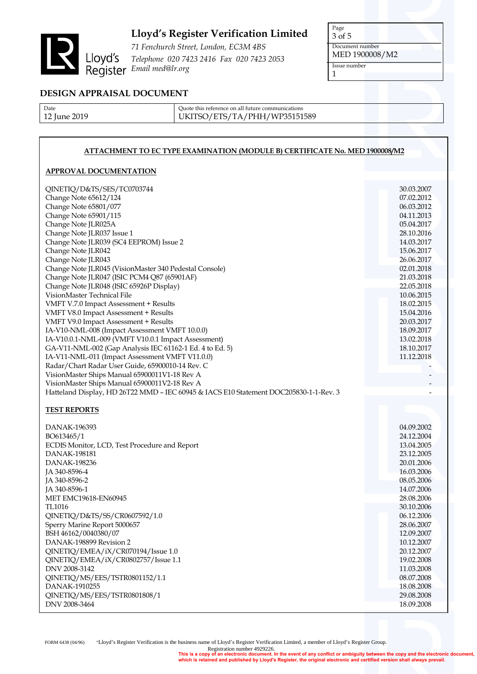

*71 Fenchurch Street, London, EC3M 4BS Telephone 020 7423 2416 Fax 020 7423 2053 Email med@lr.org*

Page 3 of 5 Document number MED 1900008/M2 Issue number

1

### **DESIGN APPRAISAL DOCUMENT**

| Date         |
|--------------|
| 12 June 2019 |

Quote this reference on all future communications UKITSO/ETS/TA/PHH/WP35151589

### **ATTACHMENT TO EC TYPE EXAMINATION (MODULE B) CERTIFICATE No. MED 1900008/M2**

### **APPROVAL DOCUMENTATION**

| QINETIQ/D&TS/SES/TC0703744<br>Change Note 65612/124<br>Change Note 65801/077<br>Change Note 65901/115<br>Change Note JLR025A<br>Change Note JLR037 Issue 1<br>Change Note JLR039 (SC4 EEPROM) Issue 2<br>Change Note JLR042<br>Change Note JLR043<br>Change Note JLR045 (VisionMaster 340 Pedestal Console)                                                                                                                         | 30.03.2007<br>07.02.2012<br>06.03.2012<br>04.11.2013<br>05.04.2017<br>28.10.2016<br>14.03.2017<br>15.06.2017<br>26.06.2017<br>02.01.2018 |
|-------------------------------------------------------------------------------------------------------------------------------------------------------------------------------------------------------------------------------------------------------------------------------------------------------------------------------------------------------------------------------------------------------------------------------------|------------------------------------------------------------------------------------------------------------------------------------------|
| Change Note JLR047 (ISIC PCM4 Q87 (65901AF)<br>Change Note JLR048 (ISIC 65926P Display)                                                                                                                                                                                                                                                                                                                                             | 21.03.2018<br>22.05.2018                                                                                                                 |
| VisionMaster Technical File<br>VMFT V.7.0 Impact Assessment + Results<br>VMFT V8.0 Impact Assessment + Results<br>VMFT V9.0 Impact Assessment + Results<br>IA-V10-NML-008 (Impact Assessment VMFT 10.0.0)<br>IA-V10.0.1-NML-009 (VMFT V10.0.1 Impact Assessment)<br>GA-V11-NML-002 (Gap Analysis IEC 61162-1 Ed. 4 to Ed. 5)<br>IA-V11-NML-011 (Impact Assessment VMFT V11.0.0)<br>Radar/Chart Radar User Guide, 65900010-14 Rev. C | 10.06.2015<br>18.02.2015<br>15.04.2016<br>20.03.2017<br>18.09.2017<br>13.02.2018<br>18.10.2017<br>11.12.2018                             |
| VisionMaster Ships Manual 65900011V1-18 Rev A                                                                                                                                                                                                                                                                                                                                                                                       |                                                                                                                                          |
| VisionMaster Ships Manual 65900011V2-18 Rev A                                                                                                                                                                                                                                                                                                                                                                                       |                                                                                                                                          |
| Hatteland Display, HD 26T22 MMD - IEC 60945 & IACS E10 Statement DOC205830-1-1-Rev. 3                                                                                                                                                                                                                                                                                                                                               |                                                                                                                                          |
|                                                                                                                                                                                                                                                                                                                                                                                                                                     |                                                                                                                                          |
| <b>TEST REPORTS</b>                                                                                                                                                                                                                                                                                                                                                                                                                 |                                                                                                                                          |
| DANAK-196393<br>BO613465/1<br>ECDIS Monitor, LCD, Test Procedure and Report<br><b>DANAK-198181</b><br>DANAK-198236<br>JA 340-8596-4<br>JA 340-8596-2                                                                                                                                                                                                                                                                                | 04.09.2002<br>24.12.2004<br>13.04.2005<br>23.12.2005<br>20.01.2006<br>16.03.2006<br>08.05.2006                                           |
| JA 340-8596-1                                                                                                                                                                                                                                                                                                                                                                                                                       | 14.07.2006                                                                                                                               |
| MET EMC19618-EN60945                                                                                                                                                                                                                                                                                                                                                                                                                | 28.08.2006                                                                                                                               |
| TL1016<br>QINETIQ/D&TS/SS/CR0607592/1.0<br>Sperry Marine Report 5000657<br>BSH 46162/0040380/07<br>DANAK-198899 Revision 2                                                                                                                                                                                                                                                                                                          | 30.10.2006<br>06.12.2006<br>28.06.2007<br>12.09.2007<br>10.12.2007                                                                       |
| QINETIQ/EMEA/iX/CR070194/Issue 1.0<br>QINETIQ/EMEA/iX/CR0802757/Issue 1.1<br>DNV 2008-3142<br>QINETIQ/MS/EES/TSTR0801152/1.1                                                                                                                                                                                                                                                                                                        | 20.12.2007<br>19.02.2008<br>11.03.2008<br>08.07.2008                                                                                     |
| DANAK-1910255<br>QINETIQ/MS/EES/TSTR0801808/1                                                                                                                                                                                                                                                                                                                                                                                       | 18.08.2008<br>29.08.2008                                                                                                                 |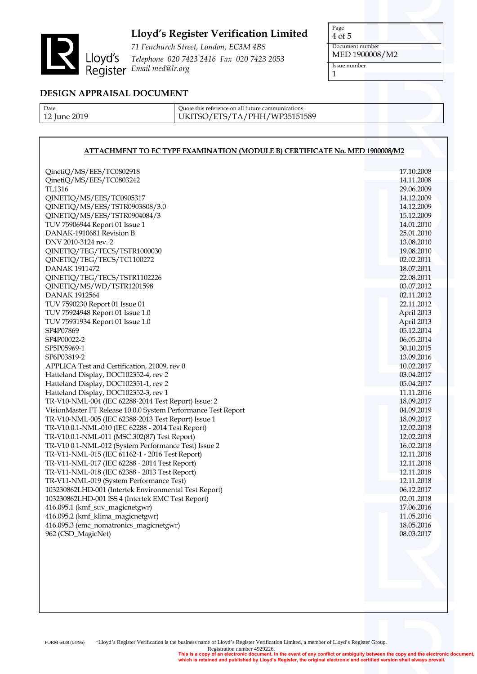

*71 Fenchurch Street, London, EC3M 4BS Telephone 020 7423 2416 Fax 020 7423 2053 Email med@lr.org*

Page 4 of 5 Document number MED 1900008/M2 Issue number 1

### **DESIGN APPRAISAL DOCUMENT**

Date 12 June 2019 Quote this reference on all future communications UKITSO/ETS/TA/PHH/WP35151589

### **ATTACHMENT TO EC TYPE EXAMINATION (MODULE B) CERTIFICATE No. MED 1900008/M2**

| QinetiQ/MS/EES/TC0802918<br>QinetiQ/MS/EES/TC0803242                                                    | 17.10.2008<br>14.11.2008 |
|---------------------------------------------------------------------------------------------------------|--------------------------|
| TL1316                                                                                                  | 29.06.2009               |
| QINETIQ/MS/EES/TC0905317                                                                                | 14.12.2009               |
| QINETIQ/MS/EES/TSTR0903808/3.0                                                                          | 14.12.2009               |
| QINETIQ/MS/EES/TSTR0904084/3                                                                            | 15.12.2009               |
| TUV 75906944 Report 01 Issue 1                                                                          | 14.01.2010               |
| DANAK-1910681 Revision B                                                                                | 25.01.2010               |
| DNV 2010-3124 rev. 2                                                                                    | 13.08.2010               |
| QINETIQ/TEG/TECS/TSTR1000030                                                                            | 19.08.2010               |
| QINETIQ/TEG/TECS/TC1100272                                                                              | 02.02.2011               |
| DANAK 1911472                                                                                           | 18.07.2011               |
| QINETIQ/TEG/TECS/TSTR1102226                                                                            | 22.08.2011               |
| QINETIQ/MS/WD/TSTR1201598                                                                               | 03.07.2012               |
| DANAK 1912564                                                                                           | 02.11.2012               |
| TUV 7590230 Report 01 Issue 01                                                                          | 22.11.2012               |
| TUV 75924948 Report 01 Issue 1.0                                                                        | April 2013               |
| TUV 75931934 Report 01 Issue 1.0                                                                        | April 2013               |
| SP4P07869                                                                                               | 05.12.2014               |
| SP4P00022-2                                                                                             | 06.05.2014               |
| SP5P05969-1                                                                                             | 30.10.2015               |
| SP6P03819-2                                                                                             | 13.09.2016               |
| APPLICA Test and Certification, 21009, rev 0                                                            | 10.02.2017               |
| Hatteland Display, DOC102352-4, rev 2                                                                   | 03.04.2017               |
| Hatteland Display, DOC102351-1, rev 2                                                                   | 05.04.2017               |
| Hatteland Display, DOC102352-3, rev 1                                                                   | 11.11.2016               |
| TR-V10-NML-004 (IEC 62288-2014 Test Report) Issue: 2                                                    | 18.09.2017               |
| VisionMaster FT Release 10.0.0 System Performance Test Report                                           | 04.09.2019               |
| TR-V10-NML-005 (IEC 62388-2013 Test Report) Issue 1                                                     | 18.09.2017               |
| TR-V10.0.1-NML-010 (IEC 62288 - 2014 Test Report)                                                       | 12.02.2018               |
| TR-V10.0.1-NML-011 (MSC.302(87) Test Report)                                                            | 12.02.2018               |
| TR-V10 0 1-NML-012 (System Performance Test) Issue 2<br>TR-V11-NML-015 (IEC 61162-1 - 2016 Test Report) | 16.02.2018               |
| TR-V11-NML-017 (IEC 62288 - 2014 Test Report)                                                           | 12.11.2018<br>12.11.2018 |
| TR-V11-NML-018 (IEC 62388 - 2013 Test Report)                                                           | 12.11.2018               |
| TR-V11-NML-019 (System Performance Test)                                                                | 12.11.2018               |
| 103230862LHD-001 (Intertek Environmental Test Report)                                                   | 06.12.2017               |
| 103230862LHD-001 ISS 4 (Intertek EMC Test Report)                                                       | 02.01.2018               |
| 416.095.1 (kmf_suv_magicnetgwr)                                                                         | 17.06.2016               |
| 416.095.2 (kmf_klima_magicnetgwr)                                                                       | 11.05.2016               |
| 416.095.3 (emc_nomatronics_magicnetgwr)                                                                 | 18.05.2016               |
| 962 (CSD_MagicNet)                                                                                      | 08.03.2017               |
|                                                                                                         |                          |